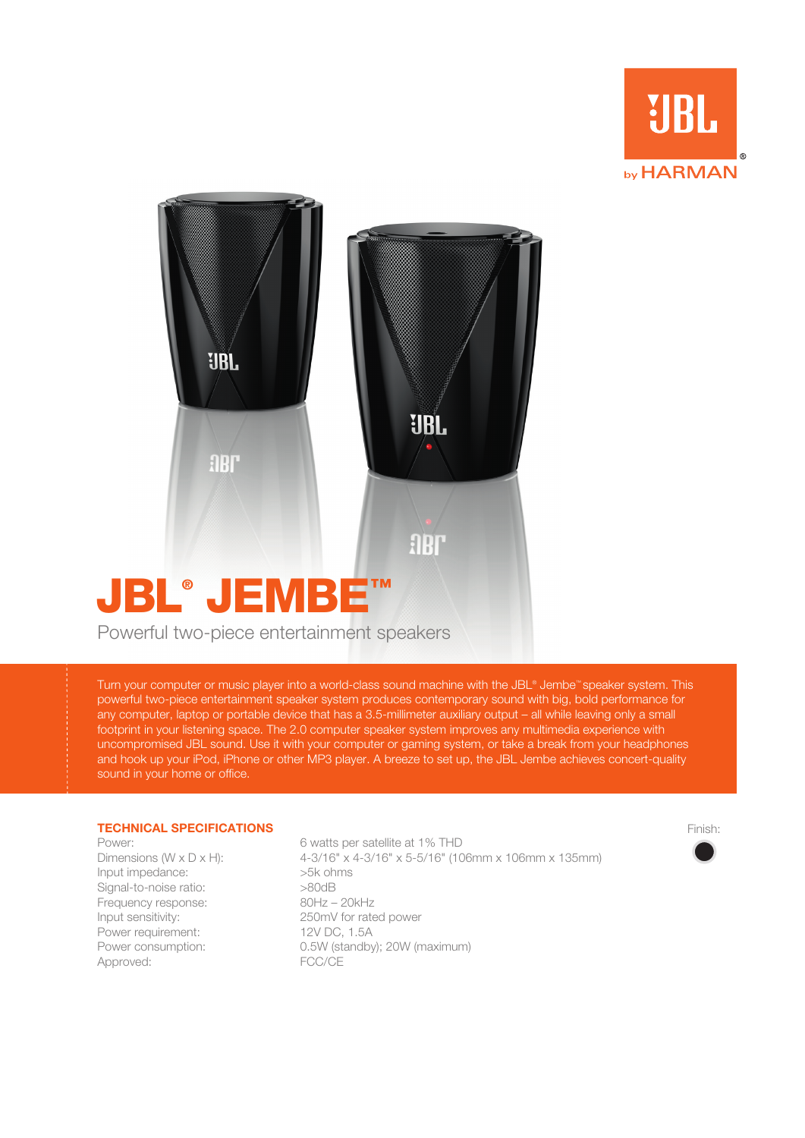



Powerful two-piece entertainment speakers

Turn your computer or music player into a world-class sound machine with the JBL® Jembe™ speaker system. This powerful two-piece entertainment speaker system produces contemporary sound with big, bold performance for any computer, laptop or portable device that has a 3.5-millimeter auxiliary output – all while leaving only a small footprint in your listening space. The 2.0 computer speaker system improves any multimedia experience with uncompromised JBL sound. Use it with your computer or gaming system, or take a break from your headphones and hook up your iPod, iPhone or other MP3 player. A breeze to set up, the JBL Jembe achieves concert-quality sound in your home or office.

## **TECHNICAL SPECIFICATIONS**

Input impedance: >5k ohms Signal-to-noise ratio:  $>$ 80dB Frequency response: 80Hz – 20kHz Input sensitivity: 250mV for rated power Power requirement: 12V DC, 1.5A Approved: FCC/CE

Power: 6 watts per satellite at 1% THD Dimensions (W x D x H): 4-3/16" x 4-3/16" x 5-5/16" (106mm x 106mm x 135mm) Power consumption: 0.5W (standby); 20W (maximum)